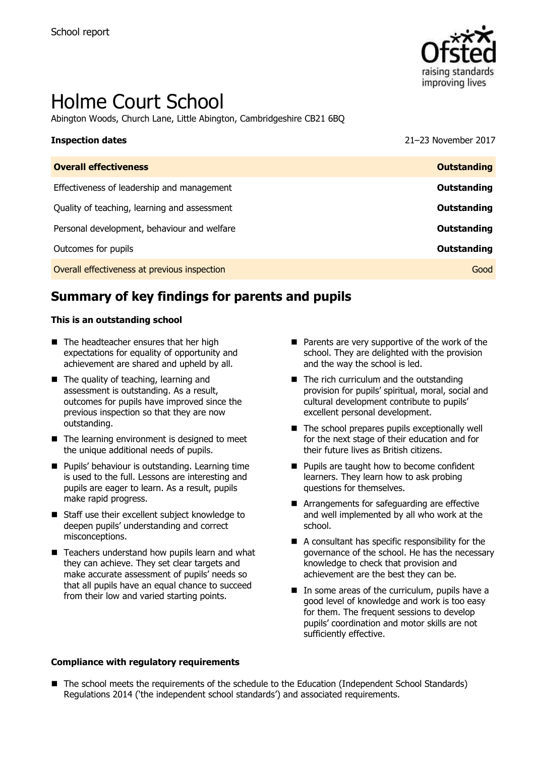

# Holme Court School

Abington Woods, Church Lane, Little Abington, Cambridgeshire CB21 6BQ

| <b>Inspection dates</b>                      | 21-23 November 2017 |
|----------------------------------------------|---------------------|
| <b>Overall effectiveness</b>                 | <b>Outstanding</b>  |
| Effectiveness of leadership and management   | Outstanding         |
| Quality of teaching, learning and assessment | Outstanding         |
| Personal development, behaviour and welfare  | Outstanding         |
| Outcomes for pupils                          | Outstanding         |
| Overall effectiveness at previous inspection | Good                |

# **Summary of key findings for parents and pupils**

### **This is an outstanding school**

- The headteacher ensures that her high expectations for equality of opportunity and achievement are shared and upheld by all.
- The quality of teaching, learning and assessment is outstanding. As a result, outcomes for pupils have improved since the previous inspection so that they are now outstanding.
- $\blacksquare$  The learning environment is designed to meet the unique additional needs of pupils.
- **Pupils' behaviour is outstanding. Learning time** is used to the full. Lessons are interesting and pupils are eager to learn. As a result, pupils make rapid progress.
- Staff use their excellent subject knowledge to deepen pupils' understanding and correct misconceptions.
- Teachers understand how pupils learn and what they can achieve. They set clear targets and make accurate assessment of pupils' needs so that all pupils have an equal chance to succeed from their low and varied starting points.
- Parents are very supportive of the work of the school. They are delighted with the provision and the way the school is led.
- The rich curriculum and the outstanding provision for pupils' spiritual, moral, social and cultural development contribute to pupils' excellent personal development.
- $\blacksquare$  The school prepares pupils exceptionally well for the next stage of their education and for their future lives as British citizens.
- **Pupils are taught how to become confident** learners. They learn how to ask probing questions for themselves.
- Arrangements for safeguarding are effective and well implemented by all who work at the school.
- A consultant has specific responsibility for the governance of the school. He has the necessary knowledge to check that provision and achievement are the best they can be.
- $\blacksquare$  In some areas of the curriculum, pupils have a good level of knowledge and work is too easy for them. The frequent sessions to develop pupils' coordination and motor skills are not sufficiently effective.

### **Compliance with regulatory requirements**

■ The school meets the requirements of the schedule to the Education (Independent School Standards) Regulations 2014 ('the independent school standards') and associated requirements.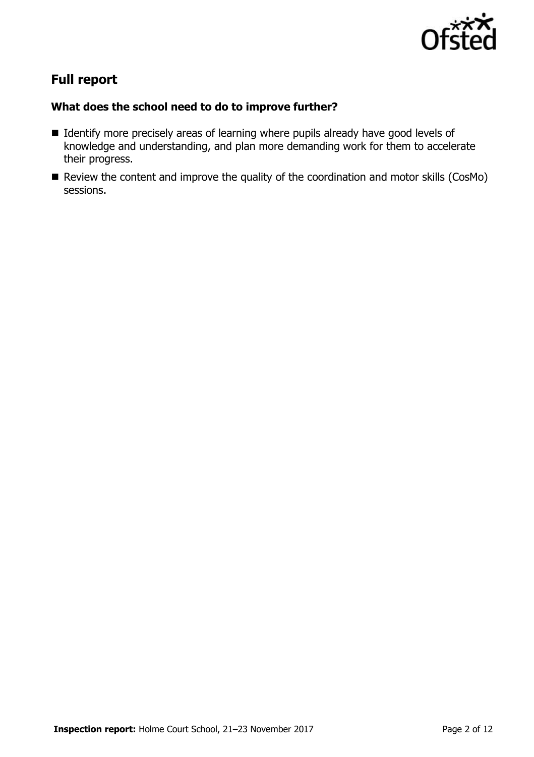

# **Full report**

# **What does the school need to do to improve further?**

- I Identify more precisely areas of learning where pupils already have good levels of knowledge and understanding, and plan more demanding work for them to accelerate their progress.
- Review the content and improve the quality of the coordination and motor skills (CosMo) sessions.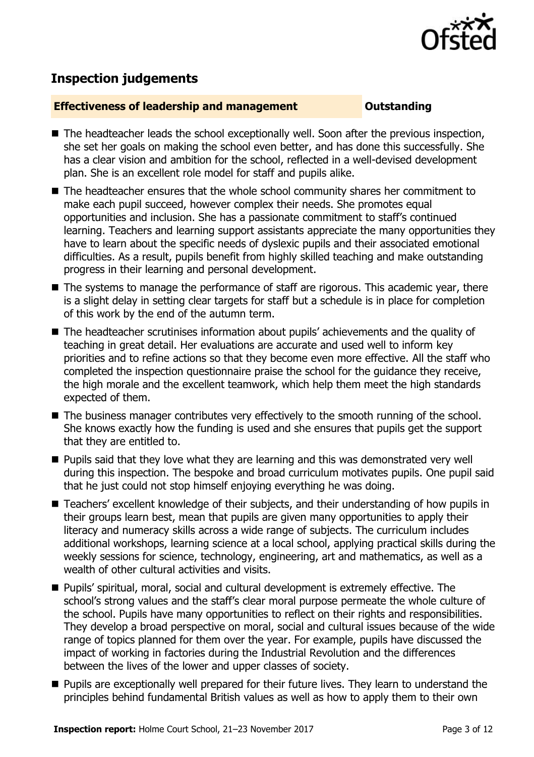

# **Inspection judgements**

# **Effectiveness of leadership and management COULD COULD DESCRIPTION**

- The headteacher leads the school exceptionally well. Soon after the previous inspection, she set her goals on making the school even better, and has done this successfully. She has a clear vision and ambition for the school, reflected in a well-devised development plan. She is an excellent role model for staff and pupils alike.
- The headteacher ensures that the whole school community shares her commitment to make each pupil succeed, however complex their needs. She promotes equal opportunities and inclusion. She has a passionate commitment to staff's continued learning. Teachers and learning support assistants appreciate the many opportunities they have to learn about the specific needs of dyslexic pupils and their associated emotional difficulties. As a result, pupils benefit from highly skilled teaching and make outstanding progress in their learning and personal development.
- The systems to manage the performance of staff are rigorous. This academic year, there is a slight delay in setting clear targets for staff but a schedule is in place for completion of this work by the end of the autumn term.
- The headteacher scrutinises information about pupils' achievements and the quality of teaching in great detail. Her evaluations are accurate and used well to inform key priorities and to refine actions so that they become even more effective. All the staff who completed the inspection questionnaire praise the school for the guidance they receive, the high morale and the excellent teamwork, which help them meet the high standards expected of them.
- The business manager contributes very effectively to the smooth running of the school. She knows exactly how the funding is used and she ensures that pupils get the support that they are entitled to.
- **Pupils said that they love what they are learning and this was demonstrated very well** during this inspection. The bespoke and broad curriculum motivates pupils. One pupil said that he just could not stop himself enjoying everything he was doing.
- Teachers' excellent knowledge of their subjects, and their understanding of how pupils in their groups learn best, mean that pupils are given many opportunities to apply their literacy and numeracy skills across a wide range of subjects. The curriculum includes additional workshops, learning science at a local school, applying practical skills during the weekly sessions for science, technology, engineering, art and mathematics, as well as a wealth of other cultural activities and visits.
- Pupils' spiritual, moral, social and cultural development is extremely effective. The school's strong values and the staff's clear moral purpose permeate the whole culture of the school. Pupils have many opportunities to reflect on their rights and responsibilities. They develop a broad perspective on moral, social and cultural issues because of the wide range of topics planned for them over the year. For example, pupils have discussed the impact of working in factories during the Industrial Revolution and the differences between the lives of the lower and upper classes of society.
- **Pupils are exceptionally well prepared for their future lives. They learn to understand the** principles behind fundamental British values as well as how to apply them to their own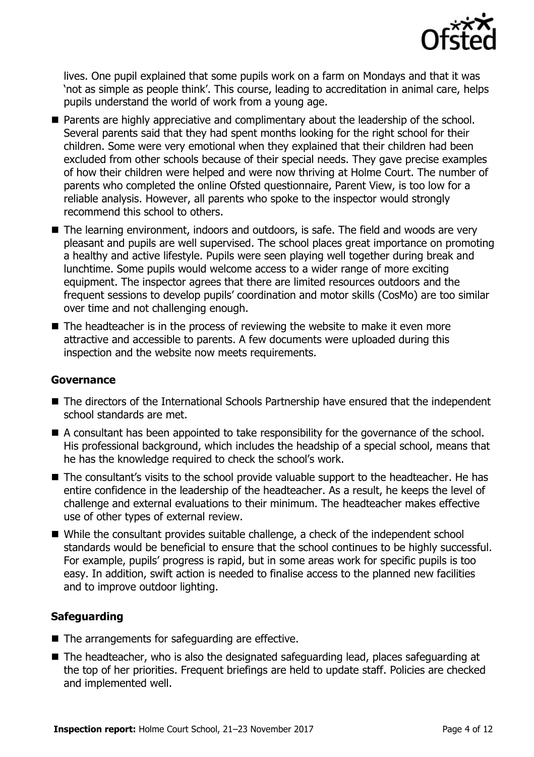

lives. One pupil explained that some pupils work on a farm on Mondays and that it was 'not as simple as people think'. This course, leading to accreditation in animal care, helps pupils understand the world of work from a young age.

- **Parents are highly appreciative and complimentary about the leadership of the school.** Several parents said that they had spent months looking for the right school for their children. Some were very emotional when they explained that their children had been excluded from other schools because of their special needs. They gave precise examples of how their children were helped and were now thriving at Holme Court. The number of parents who completed the online Ofsted questionnaire, Parent View, is too low for a reliable analysis. However, all parents who spoke to the inspector would strongly recommend this school to others.
- The learning environment, indoors and outdoors, is safe. The field and woods are very pleasant and pupils are well supervised. The school places great importance on promoting a healthy and active lifestyle. Pupils were seen playing well together during break and lunchtime. Some pupils would welcome access to a wider range of more exciting equipment. The inspector agrees that there are limited resources outdoors and the frequent sessions to develop pupils' coordination and motor skills (CosMo) are too similar over time and not challenging enough.
- $\blacksquare$  The headteacher is in the process of reviewing the website to make it even more attractive and accessible to parents. A few documents were uploaded during this inspection and the website now meets requirements.

## **Governance**

- The directors of the International Schools Partnership have ensured that the independent school standards are met.
- A consultant has been appointed to take responsibility for the governance of the school. His professional background, which includes the headship of a special school, means that he has the knowledge required to check the school's work.
- The consultant's visits to the school provide valuable support to the headteacher. He has entire confidence in the leadership of the headteacher. As a result, he keeps the level of challenge and external evaluations to their minimum. The headteacher makes effective use of other types of external review.
- While the consultant provides suitable challenge, a check of the independent school standards would be beneficial to ensure that the school continues to be highly successful. For example, pupils' progress is rapid, but in some areas work for specific pupils is too easy. In addition, swift action is needed to finalise access to the planned new facilities and to improve outdoor lighting.

# **Safeguarding**

- $\blacksquare$  The arrangements for safeguarding are effective.
- The headteacher, who is also the designated safeguarding lead, places safeguarding at the top of her priorities. Frequent briefings are held to update staff. Policies are checked and implemented well.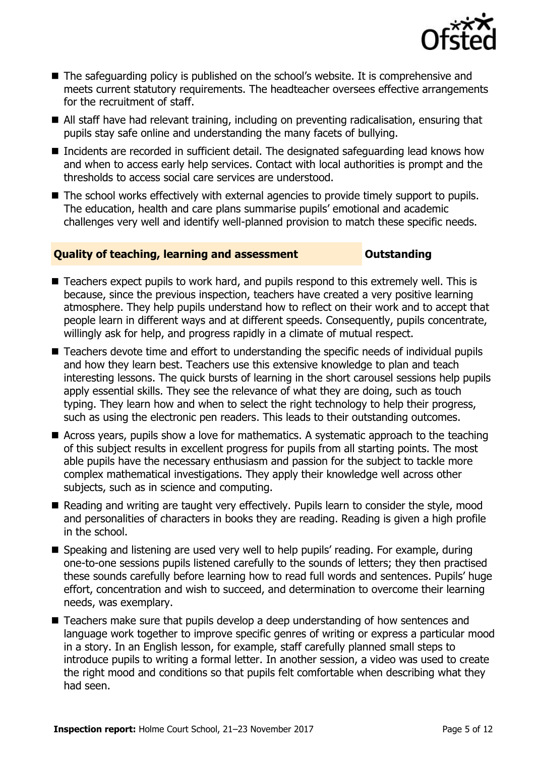

- The safeguarding policy is published on the school's website. It is comprehensive and meets current statutory requirements. The headteacher oversees effective arrangements for the recruitment of staff.
- All staff have had relevant training, including on preventing radicalisation, ensuring that pupils stay safe online and understanding the many facets of bullying.
- Incidents are recorded in sufficient detail. The designated safeguarding lead knows how and when to access early help services. Contact with local authorities is prompt and the thresholds to access social care services are understood.
- The school works effectively with external agencies to provide timely support to pupils. The education, health and care plans summarise pupils' emotional and academic challenges very well and identify well-planned provision to match these specific needs.

## **Quality of teaching, learning and assessment Outstanding**

- Teachers expect pupils to work hard, and pupils respond to this extremely well. This is because, since the previous inspection, teachers have created a very positive learning atmosphere. They help pupils understand how to reflect on their work and to accept that people learn in different ways and at different speeds. Consequently, pupils concentrate, willingly ask for help, and progress rapidly in a climate of mutual respect.
- Teachers devote time and effort to understanding the specific needs of individual pupils and how they learn best. Teachers use this extensive knowledge to plan and teach interesting lessons. The quick bursts of learning in the short carousel sessions help pupils apply essential skills. They see the relevance of what they are doing, such as touch typing. They learn how and when to select the right technology to help their progress, such as using the electronic pen readers. This leads to their outstanding outcomes.
- Across years, pupils show a love for mathematics. A systematic approach to the teaching of this subject results in excellent progress for pupils from all starting points. The most able pupils have the necessary enthusiasm and passion for the subject to tackle more complex mathematical investigations. They apply their knowledge well across other subjects, such as in science and computing.
- Reading and writing are taught very effectively. Pupils learn to consider the style, mood and personalities of characters in books they are reading. Reading is given a high profile in the school.
- Speaking and listening are used very well to help pupils' reading. For example, during one-to-one sessions pupils listened carefully to the sounds of letters; they then practised these sounds carefully before learning how to read full words and sentences. Pupils' huge effort, concentration and wish to succeed, and determination to overcome their learning needs, was exemplary.
- Teachers make sure that pupils develop a deep understanding of how sentences and language work together to improve specific genres of writing or express a particular mood in a story. In an English lesson, for example, staff carefully planned small steps to introduce pupils to writing a formal letter. In another session, a video was used to create the right mood and conditions so that pupils felt comfortable when describing what they had seen.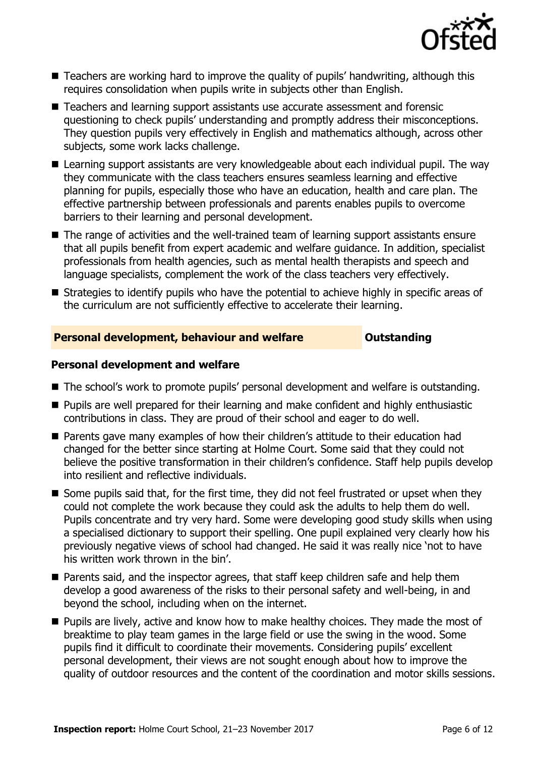

- Teachers are working hard to improve the quality of pupils' handwriting, although this requires consolidation when pupils write in subjects other than English.
- Teachers and learning support assistants use accurate assessment and forensic questioning to check pupils' understanding and promptly address their misconceptions. They question pupils very effectively in English and mathematics although, across other subjects, some work lacks challenge.
- Learning support assistants are very knowledgeable about each individual pupil. The way they communicate with the class teachers ensures seamless learning and effective planning for pupils, especially those who have an education, health and care plan. The effective partnership between professionals and parents enables pupils to overcome barriers to their learning and personal development.
- The range of activities and the well-trained team of learning support assistants ensure that all pupils benefit from expert academic and welfare guidance. In addition, specialist professionals from health agencies, such as mental health therapists and speech and language specialists, complement the work of the class teachers very effectively.
- **E** Strategies to identify pupils who have the potential to achieve highly in specific areas of the curriculum are not sufficiently effective to accelerate their learning.

# **Personal development, behaviour and welfare <b>COU COULDER** Outstanding

## **Personal development and welfare**

- The school's work to promote pupils' personal development and welfare is outstanding.
- **Pupils are well prepared for their learning and make confident and highly enthusiastic** contributions in class. They are proud of their school and eager to do well.
- Parents gave many examples of how their children's attitude to their education had changed for the better since starting at Holme Court. Some said that they could not believe the positive transformation in their children's confidence. Staff help pupils develop into resilient and reflective individuals.
- Some pupils said that, for the first time, they did not feel frustrated or upset when they could not complete the work because they could ask the adults to help them do well. Pupils concentrate and try very hard. Some were developing good study skills when using a specialised dictionary to support their spelling. One pupil explained very clearly how his previously negative views of school had changed. He said it was really nice 'not to have his written work thrown in the bin'.
- Parents said, and the inspector agrees, that staff keep children safe and help them develop a good awareness of the risks to their personal safety and well-being, in and beyond the school, including when on the internet.
- **Pupils are lively, active and know how to make healthy choices. They made the most of** breaktime to play team games in the large field or use the swing in the wood. Some pupils find it difficult to coordinate their movements. Considering pupils' excellent personal development, their views are not sought enough about how to improve the quality of outdoor resources and the content of the coordination and motor skills sessions.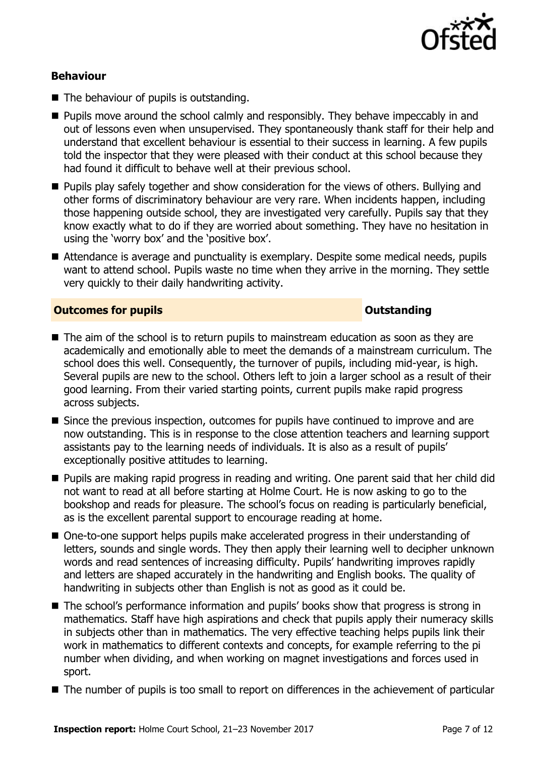

# **Behaviour**

- The behaviour of pupils is outstanding.
- **Pupils move around the school calmly and responsibly. They behave impeccably in and** out of lessons even when unsupervised. They spontaneously thank staff for their help and understand that excellent behaviour is essential to their success in learning. A few pupils told the inspector that they were pleased with their conduct at this school because they had found it difficult to behave well at their previous school.
- **Pupils play safely together and show consideration for the views of others. Bullying and** other forms of discriminatory behaviour are very rare. When incidents happen, including those happening outside school, they are investigated very carefully. Pupils say that they know exactly what to do if they are worried about something. They have no hesitation in using the 'worry box' and the 'positive box'.
- Attendance is average and punctuality is exemplary. Despite some medical needs, pupils want to attend school. Pupils waste no time when they arrive in the morning. They settle very quickly to their daily handwriting activity.

# **Outcomes for pupils Outstanding**

- The aim of the school is to return pupils to mainstream education as soon as they are academically and emotionally able to meet the demands of a mainstream curriculum. The school does this well. Consequently, the turnover of pupils, including mid-year, is high. Several pupils are new to the school. Others left to join a larger school as a result of their good learning. From their varied starting points, current pupils make rapid progress across subjects.
- Since the previous inspection, outcomes for pupils have continued to improve and are now outstanding. This is in response to the close attention teachers and learning support assistants pay to the learning needs of individuals. It is also as a result of pupils' exceptionally positive attitudes to learning.
- **Pupils are making rapid progress in reading and writing. One parent said that her child did** not want to read at all before starting at Holme Court. He is now asking to go to the bookshop and reads for pleasure. The school's focus on reading is particularly beneficial, as is the excellent parental support to encourage reading at home.
- One-to-one support helps pupils make accelerated progress in their understanding of letters, sounds and single words. They then apply their learning well to decipher unknown words and read sentences of increasing difficulty. Pupils' handwriting improves rapidly and letters are shaped accurately in the handwriting and English books. The quality of handwriting in subjects other than English is not as good as it could be.
- The school's performance information and pupils' books show that progress is strong in mathematics. Staff have high aspirations and check that pupils apply their numeracy skills in subjects other than in mathematics. The very effective teaching helps pupils link their work in mathematics to different contexts and concepts, for example referring to the pi number when dividing, and when working on magnet investigations and forces used in sport.
- The number of pupils is too small to report on differences in the achievement of particular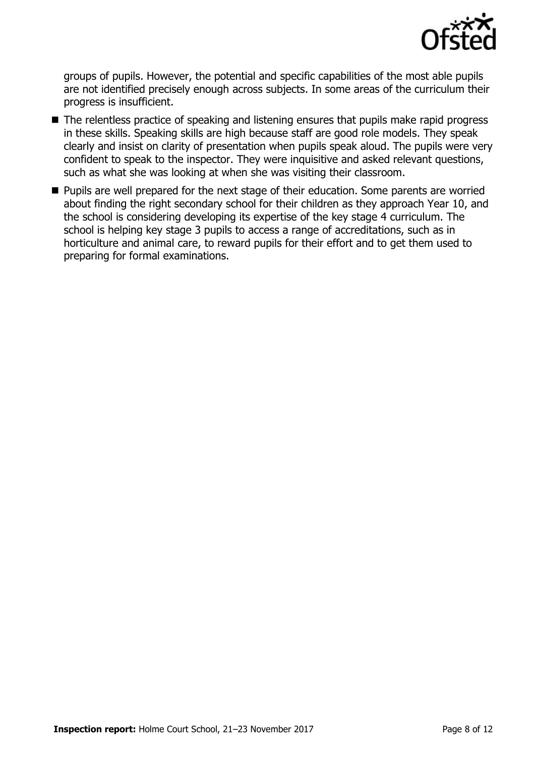

groups of pupils. However, the potential and specific capabilities of the most able pupils are not identified precisely enough across subjects. In some areas of the curriculum their progress is insufficient.

- The relentless practice of speaking and listening ensures that pupils make rapid progress in these skills. Speaking skills are high because staff are good role models. They speak clearly and insist on clarity of presentation when pupils speak aloud. The pupils were very confident to speak to the inspector. They were inquisitive and asked relevant questions, such as what she was looking at when she was visiting their classroom.
- **Pupils are well prepared for the next stage of their education. Some parents are worried** about finding the right secondary school for their children as they approach Year 10, and the school is considering developing its expertise of the key stage 4 curriculum. The school is helping key stage 3 pupils to access a range of accreditations, such as in horticulture and animal care, to reward pupils for their effort and to get them used to preparing for formal examinations.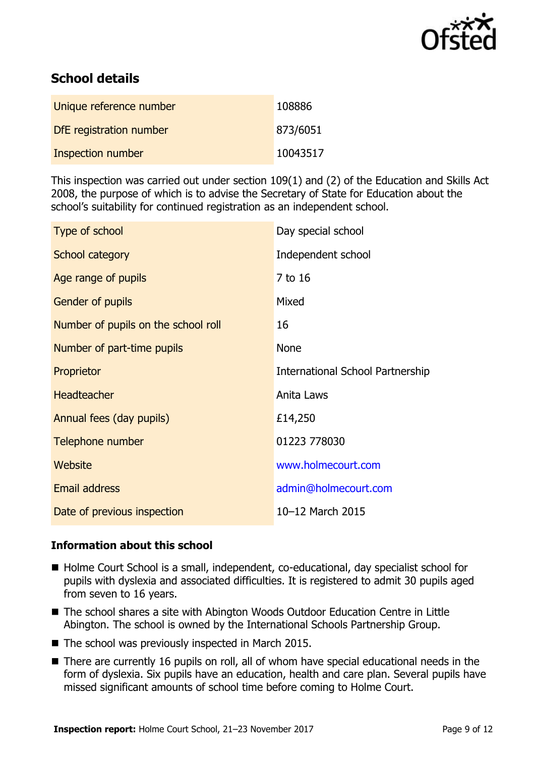

# **School details**

| Unique reference number | 108886   |
|-------------------------|----------|
| DfE registration number | 873/6051 |
| Inspection number       | 10043517 |

This inspection was carried out under section 109(1) and (2) of the Education and Skills Act 2008, the purpose of which is to advise the Secretary of State for Education about the school's suitability for continued registration as an independent school.

| Type of school                      | Day special school                      |
|-------------------------------------|-----------------------------------------|
| School category                     | Independent school                      |
| Age range of pupils                 | 7 to 16                                 |
| <b>Gender of pupils</b>             | Mixed                                   |
| Number of pupils on the school roll | 16                                      |
| Number of part-time pupils          | None                                    |
| Proprietor                          | <b>International School Partnership</b> |
| <b>Headteacher</b>                  | Anita Laws                              |
| Annual fees (day pupils)            | £14,250                                 |
| Telephone number                    | 01223 778030                            |
| Website                             | www.holmecourt.com                      |
| <b>Email address</b>                | admin@holmecourt.com                    |
| Date of previous inspection         | 10-12 March 2015                        |

# **Information about this school**

- Holme Court School is a small, independent, co-educational, day specialist school for pupils with dyslexia and associated difficulties. It is registered to admit 30 pupils aged from seven to 16 years.
- The school shares a site with Abington Woods Outdoor Education Centre in Little Abington. The school is owned by the International Schools Partnership Group.
- The school was previously inspected in March 2015.
- There are currently 16 pupils on roll, all of whom have special educational needs in the form of dyslexia. Six pupils have an education, health and care plan. Several pupils have missed significant amounts of school time before coming to Holme Court.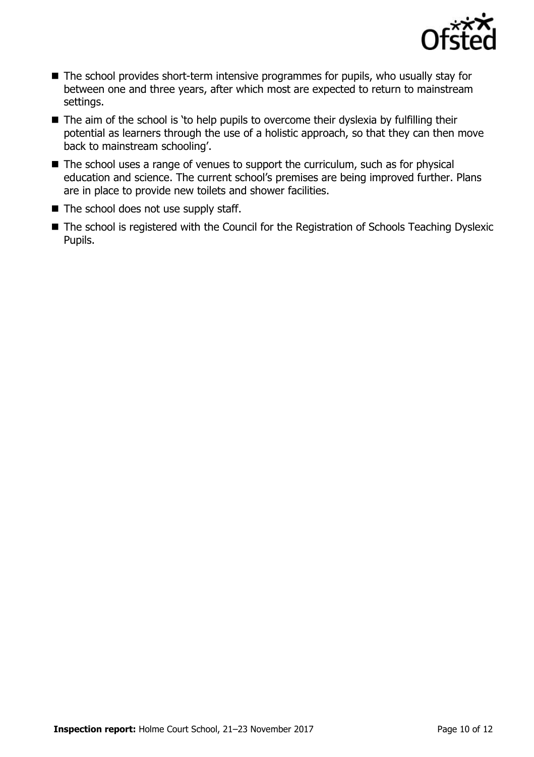

- The school provides short-term intensive programmes for pupils, who usually stay for between one and three years, after which most are expected to return to mainstream settings.
- The aim of the school is 'to help pupils to overcome their dyslexia by fulfilling their potential as learners through the use of a holistic approach, so that they can then move back to mainstream schooling'.
- $\blacksquare$  The school uses a range of venues to support the curriculum, such as for physical education and science. The current school's premises are being improved further. Plans are in place to provide new toilets and shower facilities.
- The school does not use supply staff.
- The school is registered with the Council for the Registration of Schools Teaching Dyslexic Pupils.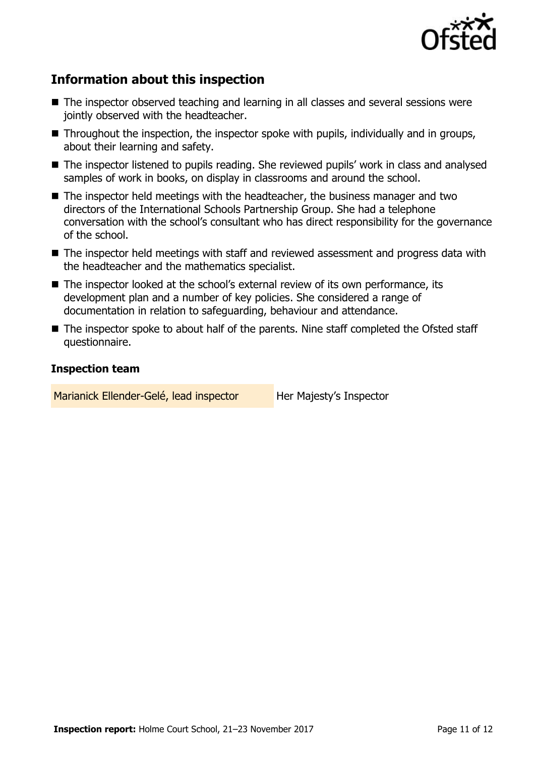

# **Information about this inspection**

- The inspector observed teaching and learning in all classes and several sessions were jointly observed with the headteacher.
- Throughout the inspection, the inspector spoke with pupils, individually and in groups, about their learning and safety.
- The inspector listened to pupils reading. She reviewed pupils' work in class and analysed samples of work in books, on display in classrooms and around the school.
- The inspector held meetings with the headteacher, the business manager and two directors of the International Schools Partnership Group. She had a telephone conversation with the school's consultant who has direct responsibility for the governance of the school.
- The inspector held meetings with staff and reviewed assessment and progress data with the headteacher and the mathematics specialist.
- The inspector looked at the school's external review of its own performance, its development plan and a number of key policies. She considered a range of documentation in relation to safeguarding, behaviour and attendance.
- The inspector spoke to about half of the parents. Nine staff completed the Ofsted staff questionnaire.

# **Inspection team**

Marianick Ellender-Gelé, lead inspector Her Majesty's Inspector